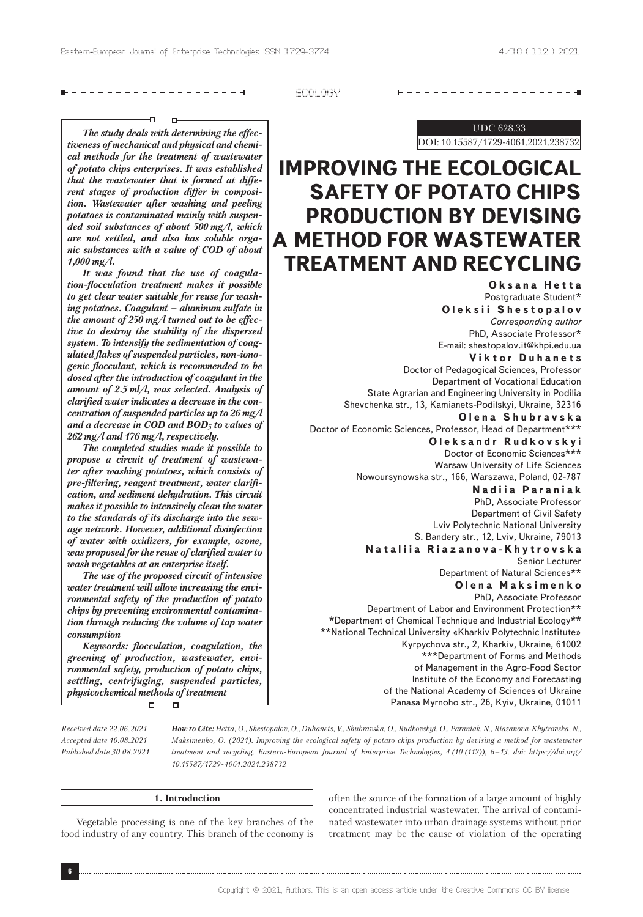# -------------------**-**

ECOLOGY

#### Đ.  $\Box$

*The study deals with determining the effectiveness of mechanical and physical and chemical methods for the treatment of wastewater of potato chips enterprises. It was established that the wastewater that is formed at different stages of production differ in composition. Wastewater after washing and peeling potatoes is contaminated mainly with suspended soil substances of about 500 mg/l, which are not settled, and also has soluble organic substances with a value of COD of about 1,000 mg/l.*

*It was found that the use of coagulation-flocculation treatment makes it possible to get clear water suitable for reuse for washing potatoes. Coagulant – aluminum sulfate in the amount of 250 mg/l turned out to be effective to destroy the stability of the dispersed system. To intensify the sedimentation of coagulated flakes of suspended particles, non-ionogenic flocculant, which is recommended to be dosed after the introduction of coagulant in the amount of 2.5 ml/l, was selected. Analysis of clarified water indicates a decrease in the concentration of suspended particles up to 26 mg/l and a decrease in COD and BOD5 to values of 262 mg/l and 176 mg/l, respectively.*

*The completed studies made it possible to propose a circuit of treatment of wastewater after washing potatoes, which consists of pre-filtering, reagent treatment, water clarification, and sediment dehydration. This circuit makes it possible to intensively clean the water to the standards of its discharge into the sewage network. However, additional disinfection of water with oxidizers, for example, ozone, was proposed for the reuse of clarified water to wash vegetables at an enterprise itself.*

*The use of the proposed circuit of intensive water treatment will allow increasing the environmental safety of the production of potato chips by preventing environmental contamination through reducing the volume of tap water consumption*

*Keywords: flocculation, coagulation, the greening of production, wastewater, environmental safety, production of potato chips, settling, centrifuging, suspended particles, physicochemical methods of treatment*  $\overline{\phantom{0}}$  $\Gamma$ 

UDC 628.33

--------------------**-**

DOI: 10.15587/1729-4061.2021.238732

# **IMPROVING THE ECOLOGICAL SAFETY OF POTATO CHIPS PRODUCTION BY DEVISING A METHOD FOR WASTEWATER TREATMENT AND RECYCLING**

**Oksana Hetta** Postgraduate Student\* **Oleksіi Shestopalov** *Corresponding author* PhD, Associate Professor\* E-mail: shestopalov.it@khpi.edu.ua

**Viktor Duhanets** Doctor of Pedagogical Sciences, Professor Department of Vocational Education State Agrarian and Engineering University in Podilia Shevchenka str., 13, Kamianets-Podilskyi, Ukraine, 32316

**Olena Shubravska** Doctor of Economic Sciences, Professor, Head of Department\*\*\*

**Oleksandr Rudkovskyi** Doctor of Economic Sciences\*\* Warsaw University of Life Sciences Nowoursynowska str., 166, Warszawa, Poland, 02-787

**Nаdiia Paraniak** PhD, Associate Professor Department of Civil Safety Lviv Polytechnic National University S. Bandery str., 12, Lviv, Ukraine, 79013

**Nataliia Riazanova-Khytrovska**

Senior Lecturer Department of Natural Sciences\*\*

**Olena Maksimenko**

PhD, Associate Professor

Department of Labor and Environment Protection\*\* \*Department of Chemical Technique and Industrial Ecology\*\* \*\*National Technical University «Kharkiv Polytechnic Institute» Kyrpychova str., 2, Kharkiv, Ukraine, 61002 \*\*\*Department of Forms and Methods of Management in the Agro-Food Sector Institute of the Economy and Forecasting of the National Academy of Sciences of Ukraine Panasa Myrnoho str., 26, Kyiv, Ukraine, 01011

*Received date 22.06.2021 Accepted date 10.08.2021 Published date 30.08.2021*

*How to Cite: Hetta, O., Shestopalov, O., Duhanets, V., Shubravska, O., Rudkovskyi, O., Paraniak, N., Riazanova-Khytrovska, N., Maksimenko, O. (2021). Improving the ecological safety of potato chips production by devising a method for wastewater treatment and recycling. Eastern-European Journal of Enterprise Technologies, 4 (10 (112)), 6–13. doi: https://doi.org/ 10.15587/1729-4061.2021.238732*

#### **1. Introduction**

Vegetable processing is one of the key branches of the food industry of any country. This branch of the economy is often the source of the formation of a large amount of highly concentrated industrial wastewater. The arrival of contaminated wastewater into urban drainage systems without prior treatment may be the cause of violation of the operating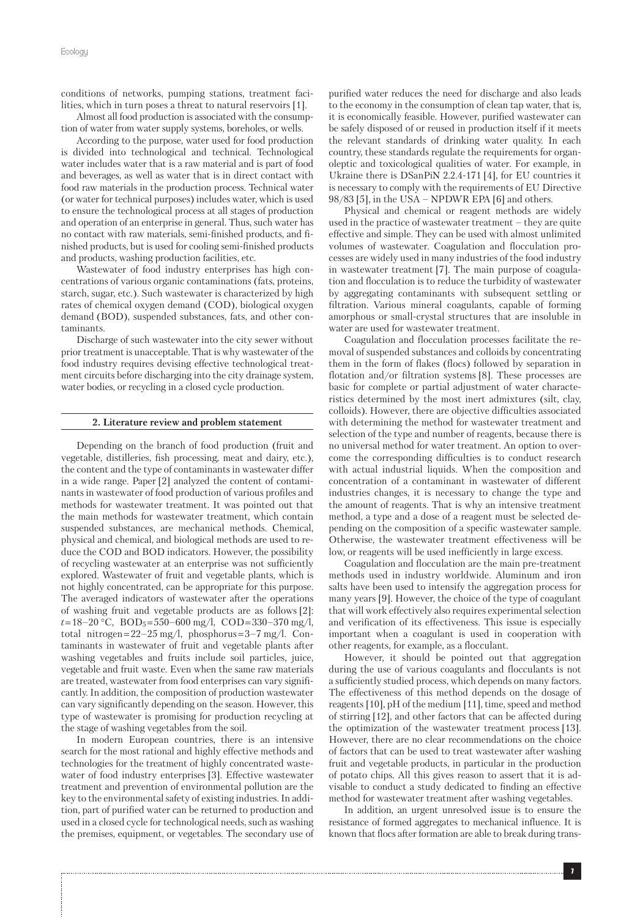conditions of networks, pumping stations, treatment facilities, which in turn poses a threat to natural reservoirs [1].

Almost all food production is associated with the consumption of water from water supply systems, boreholes, or wells.

According to the purpose, water used for food production is divided into technological and technical. Technological water includes water that is a raw material and is part of food and beverages, as well as water that is in direct contact with food raw materials in the production process. Technical water (or water for technical purposes) includes water, which is used to ensure the technological process at all stages of production and operation of an enterprise in general. Thus, such water has no contact with raw materials, semi-finished products, and finished products, but is used for cooling semi-finished products and products, washing production facilities, etc.

Wastewater of food industry enterprises has high concentrations of various organic contaminations (fats, proteins, starch, sugar, etc.). Such wastewater is characterized by high rates of chemical oxygen demand (COD), biological oxygen demand (BOD), suspended substances, fats, and other contaminants.

Discharge of such wastewater into the city sewer without prior treatment is unacceptable. That is why wastewater of the food industry requires devising effective technological treatment circuits before discharging into the city drainage system, water bodies, or recycling in a closed cycle production.

# **2. Literature review and problem statement**

Depending on the branch of food production (fruit and vegetable, distilleries, fish processing, meat and dairy, etc.), the content and the type of contaminants in wastewater differ in a wide range. Paper [2] analyzed the content of contaminants in wastewater of food production of various profiles and methods for wastewater treatment. It was pointed out that the main methods for wastewater treatment, which contain suspended substances, are mechanical methods. Chemical, physical and chemical, and biological methods are used to reduce the COD and BOD indicators. However, the possibility of recycling wastewater at an enterprise was not sufficiently explored. Wastewater of fruit and vegetable plants, which is not highly concentrated, can be appropriate for this purpose. The averaged indicators of wastewater after the operations of washing fruit and vegetable products are as follows [2]: *t* = 18–20 °C, BOD5 = 550–600 mg/l, COD = 330–370 mg/l, total nitrogen $= 22-25$  mg/l, phosphorus $= 3-7$  mg/l. Contaminants in wastewater of fruit and vegetable plants after washing vegetables and fruits include soil particles, juice, vegetable and fruit waste. Even when the same raw materials are treated, wastewater from food enterprises can vary significantly. In addition, the composition of production wastewater can vary significantly depending on the season. However, this type of wastewater is promising for production recycling at the stage of washing vegetables from the soil.

In modern European countries, there is an intensive search for the most rational and highly effective methods and technologies for the treatment of highly concentrated wastewater of food industry enterprises [3]. Effective wastewater treatment and prevention of environmental pollution are the key to the environmental safety of existing industries. In addition, part of purified water can be returned to production and used in a closed cycle for technological needs, such as washing the premises, equipment, or vegetables. The secondary use of

purified water reduces the need for discharge and also leads to the economy in the consumption of clean tap water, that is, it is economically feasible. However, purified wastewater can be safely disposed of or reused in production itself if it meets the relevant standards of drinking water quality. In each country, these standards regulate the requirements for organoleptic and toxicological qualities of water. For example, in Ukraine there is DSanPiN 2.2.4-171 [4], for EU countries it is necessary to comply with the requirements of EU Directive 98/83 [5], in the USA – NPDWR EPA [6] and others.

Physical and chemical or reagent methods are widely used in the practice of wastewater treatment – they are quite effective and simple. They can be used with almost unlimited volumes of wastewater. Coagulation and flocculation processes are widely used in many industries of the food industry in wastewater treatment [7]. The main purpose of coagulation and flocculation is to reduce the turbidity of wastewater by aggregating contaminants with subsequent settling or filtration. Various mineral coagulants, capable of forming amorphous or small-crystal structures that are insoluble in water are used for wastewater treatment.

Coagulation and flocculation processes facilitate the removal of suspended substances and colloids by concentrating them in the form of flakes (flocs) followed by separation in flotation and/or filtration systems [8]. These processes are basic for complete or partial adjustment of water characteristics determined by the most inert admixtures (silt, clay, colloids). However, there are objective difficulties associated with determining the method for wastewater treatment and selection of the type and number of reagents, because there is no universal method for water treatment. An option to overcome the corresponding difficulties is to conduct research with actual industrial liquids. When the composition and concentration of a contaminant in wastewater of different industries changes, it is necessary to change the type and the amount of reagents. That is why an intensive treatment method, a type and a dose of a reagent must be selected depending on the composition of a specific wastewater sample. Otherwise, the wastewater treatment effectiveness will be low, or reagents will be used inefficiently in large excess.

Coagulation and flocculation are the main pre-treatment methods used in industry worldwide. Aluminum and iron salts have been used to intensify the aggregation process for many years [9]. However, the choice of the type of coagulant that will work effectively also requires experimental selection and verification of its effectiveness. This issue is especially important when a coagulant is used in cooperation with other reagents, for example, as a flocculant.

However, it should be pointed out that aggregation during the use of various coagulants and flocculants is not a sufficiently studied process, which depends on many factors. The effectiveness of this method depends on the dosage of reagents [10], pH of the medium [11], time, speed and method of stirring [12], and other factors that can be affected during the optimization of the wastewater treatment process [13]. However, there are no clear recommendations on the choice of factors that can be used to treat wastewater after washing fruit and vegetable products, in particular in the production of potato chips. All this gives reason to assert that it is advisable to conduct a study dedicated to finding an effective method for wastewater treatment after washing vegetables.

In addition, an urgent unresolved issue is to ensure the resistance of formed aggregates to mechanical influence. It is known that flocs after formation are able to break during trans-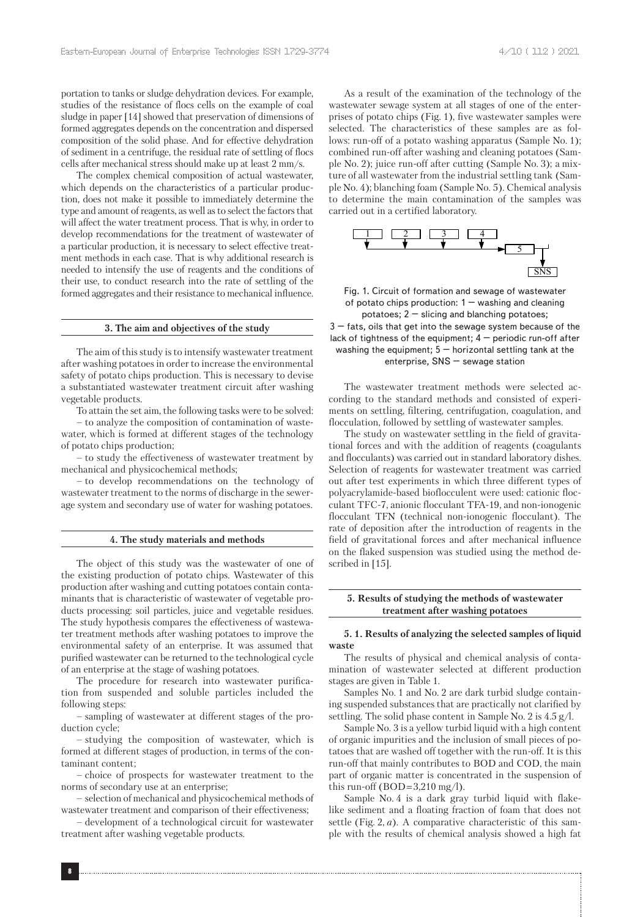portation to tanks or sludge dehydration devices. For example, studies of the resistance of flocs cells on the example of coal sludge in paper [14] showed that preservation of dimensions of formed aggregates depends on the concentration and dispersed composition of the solid phase. And for effective dehydration of sediment in a centrifuge, the residual rate of settling of flocs cells after mechanical stress should make up at least 2 mm/s.

The complex chemical composition of actual wastewater, which depends on the characteristics of a particular production, does not make it possible to immediately determine the type and amount of reagents, as well as to select the factors that will affect the water treatment process. That is why, in order to develop recommendations for the treatment of wastewater of a particular production, it is necessary to select effective treatment methods in each case. That is why additional research is needed to intensify the use of reagents and the conditions of their use, to conduct research into the rate of settling of the formed aggregates and their resistance to mechanical influence.

#### **3. The aim and objectives of the study**

The aim of this study is to intensify wastewater treatment after washing potatoes in order to increase the environmental safety of potato chips production. This is necessary to devise a substantiated wastewater treatment circuit after washing vegetable products.

To attain the set aim, the following tasks were to be solved:

– to analyze the composition of contamination of wastewater, which is formed at different stages of the technology of potato chips production;

– to study the effectiveness of wastewater treatment by mechanical and physicochemical methods;

– to develop recommendations on the technology of wastewater treatment to the norms of discharge in the sewerage system and secondary use of water for washing potatoes.

#### **4. The study materials and methods**

The object of this study was the wastewater of one of the existing production of potato chips. Wastewater of this production after washing and cutting potatoes contain contaminants that is characteristic of wastewater of vegetable products processing: soil particles, juice and vegetable residues. The study hypothesis compares the effectiveness of wastewater treatment methods after washing potatoes to improve the environmental safety of an enterprise. It was assumed that purified wastewater can be returned to the technological cycle of an enterprise at the stage of washing potatoes.

The procedure for research into wastewater purification from suspended and soluble particles included the following steps:

– sampling of wastewater at different stages of the production cycle;

– studying the composition of wastewater, which is formed at different stages of production, in terms of the contaminant content;

– choice of prospects for wastewater treatment to the norms of secondary use at an enterprise;

– selection of mechanical and physicochemical methods of wastewater treatment and comparison of their effectiveness;

– development of a technological circuit for wastewater treatment after washing vegetable products.

As a result of the examination of the technology of the wastewater sewage system at all stages of one of the enterprises of potato chips (Fig. 1), five wastewater samples were selected. The characteristics of these samples are as follows: run-off of a potato washing apparatus (Sample No. 1); combined run-off after washing and cleaning potatoes (Sample No. 2); juice run-off after cutting (Sample No. 3); a mixture of all wastewater from the industrial settling tank (Sample No. 4); blanching foam (Sample No. 5). Chemical analysis to determine the main contamination of the samples was carried out in a certified laboratory.



Fig. 1. Circuit of formation and sewage of wastewater of potato chips production:  $1 -$  washing and cleaning potatoes;  $2 -$  slicing and blanching potatoes;

 $3$  – fats, oils that get into the sewage system because of the lack of tightness of the equipment;  $4$  – periodic run-off after washing the equipment;  $5 -$  horizontal settling tank at the enterprise, SNS – sewage station

The wastewater treatment methods were selected according to the standard methods and consisted of experiments on settling, filtering, centrifugation, coagulation, and flocculation, followed by settling of wastewater samples.

The study on wastewater settling in the field of gravitational forces and with the addition of reagents (coagulants and flocculants) was carried out in standard laboratory dishes. Selection of reagents for wastewater treatment was carried out after test experiments in which three different types of polyacrylamide-based bioflocculent were used: cationic flocculant TFC-7, anionic flocculant TFA-19, and non-ionogenic flocculant TFN (technical non-ionogenic flocculant). The rate of deposition after the introduction of reagents in the field of gravitational forces and after mechanical influence on the flaked suspension was studied using the method described in [15].

# **5. Results of studying the methods of wastewater treatment after washing potatoes**

# **5. 1. Results of analyzing the selected samples of liquid waste**

The results of physical and chemical analysis of contamination of wastewater selected at different production stages are given in Table 1.

Samples No. 1 and No. 2 are dark turbid sludge containing suspended substances that are practically not clarified by settling. The solid phase content in Sample No. 2 is 4.5 g/l.

Sample No. 3 is a yellow turbid liquid with a high content of organic impurities and the inclusion of small pieces of potatoes that are washed off together with the run-off. It is this run-off that mainly contributes to BOD and COD, the main part of organic matter is concentrated in the suspension of this run-off (BOD= $3,210 \text{ mg/l}$ ).

Sample No. 4 is a dark gray turbid liquid with flakelike sediment and a floating fraction of foam that does not settle (Fig. 2, *a*). A comparative characteristic of this sample with the results of chemical analysis showed a high fat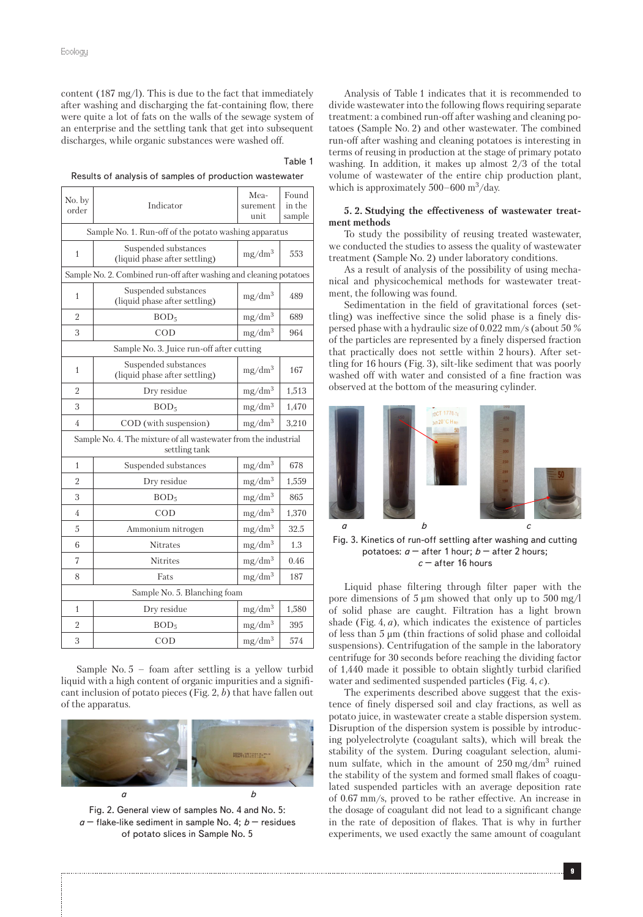content (187 mg/l). This is due to the fact that immediately after washing and discharging the fat-containing flow, there were quite a lot of fats on the walls of the sewage system of an enterprise and the settling tank that get into subsequent discharges, while organic substances were washed off.

#### Table 1

Results of analysis of samples of production wastewater

| No. by<br>order                                                                  | Indicator                                             | Mea-<br>surement<br>unit    | Found<br>in the<br>sample |
|----------------------------------------------------------------------------------|-------------------------------------------------------|-----------------------------|---------------------------|
| Sample No. 1. Run-off of the potato washing apparatus                            |                                                       |                             |                           |
| $\mathbf{1}$                                                                     | Suspended substances<br>(liquid phase after settling) | mg/dm <sup>3</sup>          | 553                       |
| Sample No. 2. Combined run-off after washing and cleaning potatoes               |                                                       |                             |                           |
| 1                                                                                | Suspended substances<br>(liquid phase after settling) | mg/dm <sup>3</sup>          | 489                       |
| $\overline{2}$                                                                   | BOD <sub>5</sub>                                      | $\mathrm{mg}/\mathrm{dm}^3$ | 689                       |
| 3                                                                                | $\rm COD$                                             | $mg/dm^3$                   | 964                       |
| Sample No. 3. Juice run-off after cutting                                        |                                                       |                             |                           |
| 1                                                                                | Suspended substances<br>(liquid phase after settling) | mg/dm <sup>3</sup>          | 167                       |
| $\overline{2}$                                                                   | Dry residue                                           | mg/dm <sup>3</sup>          | 1,513                     |
| 3                                                                                | BOD <sub>5</sub>                                      | mg/dm <sup>3</sup>          | 1,470                     |
| 4                                                                                | COD (with suspension)                                 | $mg/dm^3$                   | 3,210                     |
| Sample No. 4. The mixture of all wastewater from the industrial<br>settling tank |                                                       |                             |                           |
| $\mathbf{1}$                                                                     | Suspended substances                                  | mg/dm <sup>3</sup>          | 678                       |
| $\overline{2}$                                                                   | Dry residue                                           | mg/dm <sup>3</sup>          | 1,559                     |
| 3                                                                                | BOD <sub>5</sub>                                      | mg/dm <sup>3</sup>          | 865                       |
| 4                                                                                | $\rm COD$                                             | mg/dm <sup>3</sup>          | 1,370                     |
| 5                                                                                | Ammonium nitrogen                                     | mg/dm <sup>3</sup>          | 32.5                      |
| 6                                                                                | <b>Nitrates</b>                                       | mg/dm <sup>3</sup>          | 1.3                       |
| 7                                                                                | <b>Nitrites</b>                                       | mg/dm <sup>3</sup>          | 0.46                      |
| 8                                                                                | Fats                                                  | $mg/dm^3$                   | 187                       |
| Sample No. 5. Blanching foam                                                     |                                                       |                             |                           |
| 1                                                                                | Dry residue                                           | mg/dm <sup>3</sup>          | 1,580                     |
| $\overline{2}$                                                                   | BOD <sub>5</sub>                                      | mg/dm <sup>3</sup>          | 395                       |
| 3                                                                                | COD                                                   | mg/dm <sup>3</sup>          | 574                       |

Sample No. 5 – foam after settling is a yellow turbid liquid with a high content of organic impurities and a significant inclusion of potato pieces (Fig. 2, *b*) that have fallen out of the apparatus.



Fig. 2. General view of samples No. 4 and No. 5: *a* – flake-like sediment in sample No. 4; *b* – residues of potato slices in Sample No. 5

Analysis of Table 1 indicates that it is recommended to divide wastewater into the following flows requiring separate treatment: a combined run-off after washing and cleaning potatoes (Sample No. 2) and other wastewater. The combined run-off after washing and cleaning potatoes is interesting in terms of reusing in production at the stage of primary potato washing. In addition, it makes up almost 2/3 of the total volume of wastewater of the entire chip production plant, which is approximately  $500-600$  m<sup>3</sup>/day.

# **5. 2. Studying the effectiveness of wastewater treatment methods**

To study the possibility of reusing treated wastewater, we conducted the studies to assess the quality of wastewater treatment (Sample No. 2) under laboratory conditions.

As a result of analysis of the possibility of using mechanical and physicochemical methods for wastewater treatment, the following was found.

Sedimentation in the field of gravitational forces (settling) was ineffective since the solid phase is a finely dispersed phase with a hydraulic size of 0.022 mm/s (about 50 % of the particles are represented by a finely dispersed fraction that practically does not settle within 2 hours). After settling for 16 hours (Fig. 3), silt-like sediment that was poorly washed off with water and consisted of a fine fraction was observed at the bottom of the measuring cylinder.



Fig. 3. Kinetics of run-off settling after washing and cutting potatoes:  $a -$  after 1 hour;  $b -$  after 2 hours; *c* – after 16 hours

Liquid phase filtering through filter paper with the pore dimensions of  $5 \mu m$  showed that only up to  $500 \text{ mg}/l$ of solid phase are caught. Filtration has a light brown shade (Fig. 4, *a*), which indicates the existence of particles of less than 5 µm (thin fractions of solid phase and colloidal suspensions). Centrifugation of the sample in the laboratory centrifuge for 30 seconds before reaching the dividing factor of 1,440 made it possible to obtain slightly turbid clarified water and sedimented suspended particles (Fig. 4, *c*).

The experiments described above suggest that the existence of finely dispersed soil and clay fractions, as well as potato juice, in wastewater create a stable dispersion system. Disruption of the dispersion system is possible by introducing polyelectrolyte (coagulant salts), which will break the stability of the system. During coagulant selection, aluminum sulfate, which in the amount of  $250 \text{ mg/dm}^3$  ruined the stability of the system and formed small flakes of coagulated suspended particles with an average deposition rate of 0.67 mm/s, proved to be rather effective. An increase in the dosage of coagulant did not lead to a significant change in the rate of deposition of flakes. That is why in further experiments, we used exactly the same amount of coagulant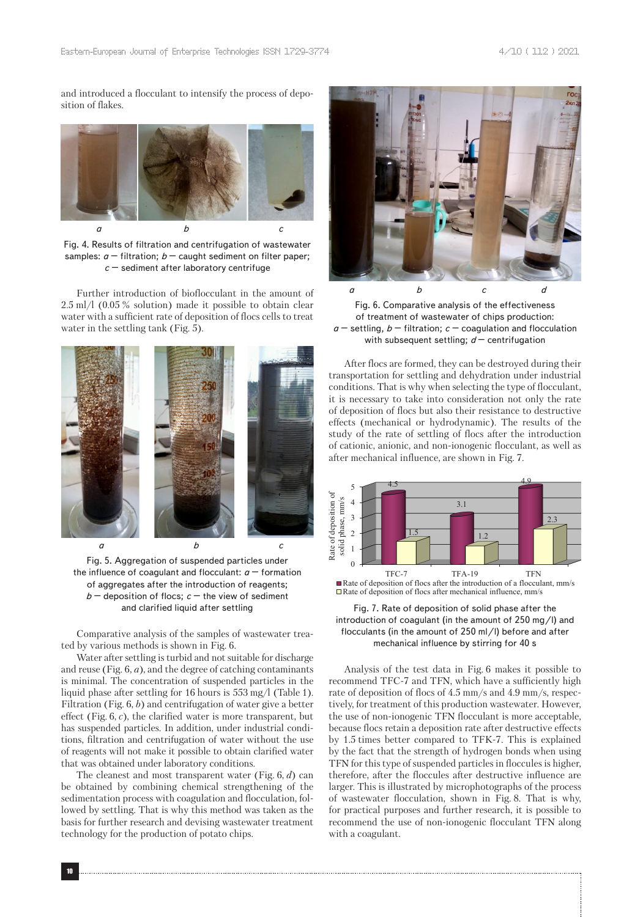and introduced a flocculant to intensify the process of deposition of flakes.



Fig. 4. Results of filtration and centrifugation of wastewater samples:  $a$  – filtration;  $b$  – caught sediment on filter paper; *c* – sediment after laboratory centrifuge

Further introduction of bioflocculant in the amount of 2.5 ml/l (0.05 % solution) made it possible to obtain clear water with a sufficient rate of deposition of flocs cells to treat water in the settling tank (Fig. 5).



Fig. 5. Aggregation of suspended particles under the influence of coagulant and flocculant:  $a -$  formation of aggregates after the introduction of reagents;  $b -$  deposition of flocs;  $c -$  the view of sediment and clarified liquid after settling

Comparative analysis of the samples of wastewater treated by various methods is shown in Fig. 6.

Water after settling is turbid and not suitable for discharge and reuse (Fig. 6, *a*), and the degree of catching contaminants is minimal. The concentration of suspended particles in the liquid phase after settling for 16 hours is 553 mg/l (Table 1). Filtration (Fig. 6, *b*) and centrifugation of water give a better effect (Fig. 6, *c*), the clarified water is more transparent, but has suspended particles. In addition, under industrial conditions, filtration and centrifugation of water without the use of reagents will not make it possible to obtain clarified water that was obtained under laboratory conditions.

The cleanest and most transparent water (Fig. 6, *d*) can be obtained by combining chemical strengthening of the sedimentation process with coagulation and flocculation, followed by settling. That is why this method was taken as the basis for further research and devising wastewater treatment technology for the production of potato chips.



Fig. 6. Comparative analysis of the effectiveness of treatment of wastewater of chips production:  $a$  – settling,  $b$  – filtration;  $c$  – coagulation and flocculation with subsequent settling; *d* – centrifugation

After flocs are formed, they can be destroyed during their transportation for settling and dehydration under industrial conditions. That is why when selecting the type of flocculant, it is necessary to take into consideration not only the rate of deposition of flocs but also their resistance to destructive effects (mechanical or hydrodynamic). The results of the study of the rate of settling of flocs after the introduction of cationic, anionic, and non-ionogenic flocculant, as well as after mechanical influence, are shown in Fig. 7.



Fig. 7. Rate of deposition of solid phase after the introduction of coagulant (in the amount of 250 mg/l) and flocculants (in the amount of 250 ml/l) before and after mechanical influence by stirring for 40 s

Analysis of the test data in Fig. 6 makes it possible to recommend TFC-7 and TFN, which have a sufficiently high rate of deposition of flocs of 4.5 mm/s and 4.9 mm/s, respectively, for treatment of this production wastewater. However, the use of non-ionogenic TFN flocculant is more acceptable, because flocs retain a deposition rate after destructive effects by 1.5 times better compared to TFK-7. This is explained by the fact that the strength of hydrogen bonds when using TFN for this type of suspended particles in floccules is higher, therefore, after the floccules after destructive influence are larger. This is illustrated by microphotographs of the process of wastewater flocculation, shown in Fig. 8. That is why, for practical purposes and further research, it is possible to recommend the use of non-ionogenic flocculant TFN along with a coagulant.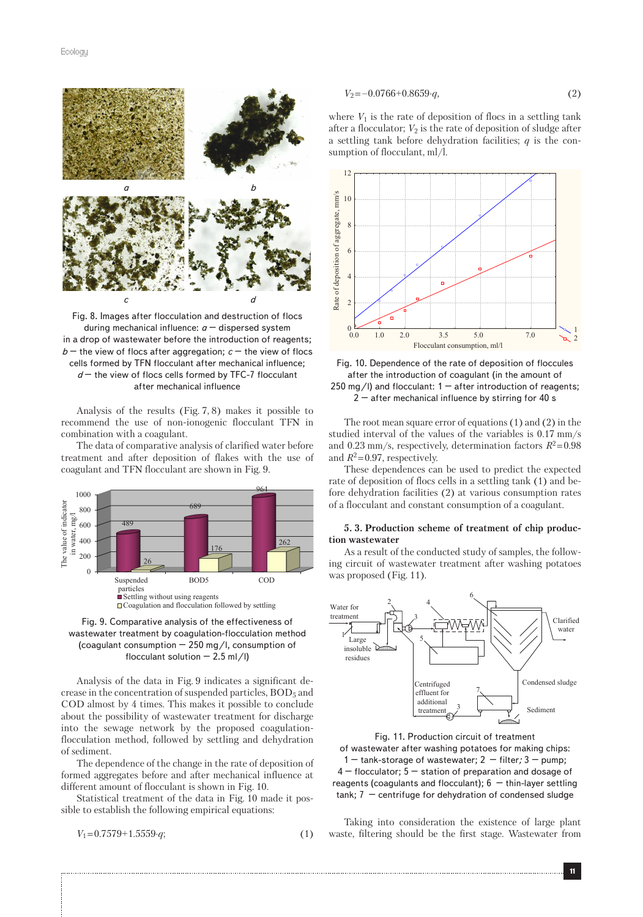

Fig. 8. Images after flocculation and destruction of flocs during mechanical influence: *a* – dispersed system in a drop of wastewater before the introduction of reagents;  $b$  – the view of flocs after aggregation;  $c$  – the view of flocs cells formed by TFN flocculant after mechanical influence; *d* – the view of flocs cells formed by TFC-7 flocculant after mechanical influence

Analysis of the results (Fig. 7, 8) makes it possible to recommend the use of non-ionogenic flocculant TFN in combination with a coagulant.

The data of comparative analysis of clarified water before treatment and after deposition of flakes with the use of coagulant and TFN flocculant are shown in Fig. 9.



Fig. 9. Comparative analysis of the effectiveness of wastewater treatment by coagulation-flocculation method (coagulant consumption – 250 mg/l, consumption of flocculant solution  $-2.5$  ml/l)

Analysis of the data in Fig. 9 indicates a significant decrease in the concentration of suspended particles, BOD<sub>5</sub> and COD almost by 4 times. This makes it possible to conclude about the possibility of wastewater treatment for discharge into the sewage network by the proposed coagulationflocculation method, followed by settling and dehydration of sediment.

The dependence of the change in the rate of deposition of formed aggregates before and after mechanical influence at different amount of flocculant is shown in Fig. 10.

Statistical treatment of the data in Fig. 10 made it possible to establish the following empirical equations:

$$
V_1 = 0.7579 + 1.5559 \cdot q; \tag{1}
$$

$$
V_2 = -0.0766 + 0.8659 \cdot q,\tag{2}
$$

where  $V_1$  is the rate of deposition of flocs in a settling tank after a flocculator;  $V_2$  is the rate of deposition of sludge after a settling tank before dehydration facilities; *q* is the consumption of flocculant, ml/l.





The root mean square error of equations (1) and (2) in the studied interval of the values of the variables is 0.17 mm/s and 0.23 mm/s, respectively, determination factors  $R^2 = 0.98$ and  $R^2$ =0.97, respectively.

These dependences can be used to predict the expected rate of deposition of flocs cells in a settling tank (1) and before dehydration facilities (2) at various consumption rates of a flocculant and constant consumption of a coagulant.

#### **5. 3. Production scheme of treatment of chip production wastewater**

As a result of the conducted study of samples, the following circuit of wastewater treatment after washing potatoes was proposed (Fig. 11).



Fig. 11. Production circuit of treatment of wastewater after washing potatoes for making chips: 1 – tank-storage of wastewater; 2 *–* filter*;* 3 – pump; 4 – flocculator; 5 – station of preparation and dosage of reagents (coagulants and flocculant); 6 *–* thin-layer settling tank; 7 *–* centrifuge for dehydration of condensed sludge

Taking into consideration the existence of large plant waste, filtering should be the first stage. Wastewater from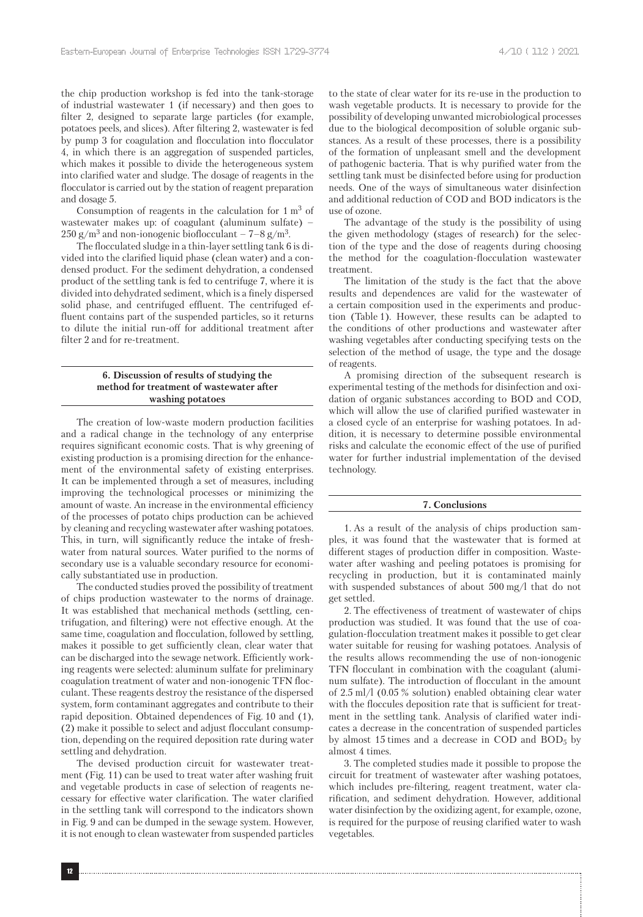the chip production workshop is fed into the tank-storage of industrial wastewater 1 (if necessary) and then goes to filter 2, designed to separate large particles (for example, potatoes peels, and slices). After filtering 2, wastewater is fed by pump 3 for coagulation and flocculation into flocculator 4, in which there is an aggregation of suspended particles, which makes it possible to divide the heterogeneous system into clarified water and sludge. The dosage of reagents in the flocculator is carried out by the station of reagent preparation and dosage 5.

Consumption of reagents in the calculation for  $1 \text{ m}^3$  of wastewater makes up: of coagulant (aluminum sulfate) –  $250$  g/m<sup>3</sup> and non-ionogenic bioflocculant –  $7-8$  g/m<sup>3</sup>.

The flocculated sludge in a thin-layer settling tank 6 is divided into the clarified liquid phase (clean water) and a condensed product. For the sediment dehydration, a condensed product of the settling tank is fed to centrifuge 7, where it is divided into dehydrated sediment, which is a finely dispersed solid phase, and centrifuged effluent. The centrifuged effluent contains part of the suspended particles, so it returns to dilute the initial run-off for additional treatment after filter 2 and for re-treatment.

# **6. Discussion of results of studying the method for treatment of wastewater after washing potatoes**

The creation of low-waste modern production facilities and a radical change in the technology of any enterprise requires significant economic costs. That is why greening of existing production is a promising direction for the enhancement of the environmental safety of existing enterprises. It can be implemented through a set of measures, including improving the technological processes or minimizing the amount of waste. An increase in the environmental efficiency of the processes of potato chips production can be achieved by cleaning and recycling wastewater after washing potatoes. This, in turn, will significantly reduce the intake of freshwater from natural sources. Water purified to the norms of secondary use is a valuable secondary resource for economically substantiated use in production.

The conducted studies proved the possibility of treatment of chips production wastewater to the norms of drainage. It was established that mechanical methods (settling, centrifugation, and filtering) were not effective enough. At the same time, coagulation and flocculation, followed by settling, makes it possible to get sufficiently clean, clear water that can be discharged into the sewage network. Efficiently working reagents were selected: aluminum sulfate for preliminary coagulation treatment of water and non-ionogenic TFN flocculant. These reagents destroy the resistance of the dispersed system, form contaminant aggregates and contribute to their rapid deposition. Obtained dependences of Fig. 10 and (1), (2) make it possible to select and adjust flocculant consumption, depending on the required deposition rate during water settling and dehydration.

The devised production circuit for wastewater treatment (Fig. 11) can be used to treat water after washing fruit and vegetable products in case of selection of reagents necessary for effective water clarification. The water clarified in the settling tank will correspond to the indicators shown in Fig. 9 and can be dumped in the sewage system. However, it is not enough to clean wastewater from suspended particles to the state of clear water for its re-use in the production to wash vegetable products. It is necessary to provide for the possibility of developing unwanted microbiological processes due to the biological decomposition of soluble organic substances. As a result of these processes, there is a possibility of the formation of unpleasant smell and the development of pathogenic bacteria. That is why purified water from the settling tank must be disinfected before using for production needs. One of the ways of simultaneous water disinfection and additional reduction of COD and BOD indicators is the use of ozone.

The advantage of the study is the possibility of using the given methodology (stages of research) for the selection of the type and the dose of reagents during choosing the method for the coagulation-flocculation wastewater treatment.

The limitation of the study is the fact that the above results and dependences are valid for the wastewater of a certain composition used in the experiments and production (Table 1). However, these results can be adapted to the conditions of other productions and wastewater after washing vegetables after conducting specifying tests on the selection of the method of usage, the type and the dosage of reagents.

A promising direction of the subsequent research is experimental testing of the methods for disinfection and oxidation of organic substances according to BOD and COD, which will allow the use of clarified purified wastewater in a closed cycle of an enterprise for washing potatoes. In addition, it is necessary to determine possible environmental risks and calculate the economic effect of the use of purified water for further industrial implementation of the devised technology.

#### **7. Conclusions**

1. As a result of the analysis of chips production samples, it was found that the wastewater that is formed at different stages of production differ in composition. Wastewater after washing and peeling potatoes is promising for recycling in production, but it is contaminated mainly with suspended substances of about 500 mg/l that do not get settled.

2. The effectiveness of treatment of wastewater of chips production was studied. It was found that the use of coagulation-flocculation treatment makes it possible to get clear water suitable for reusing for washing potatoes. Analysis of the results allows recommending the use of non-ionogenic TFN flocculant in combination with the coagulant (aluminum sulfate). The introduction of flocculant in the amount of 2.5 ml/l (0.05 % solution) enabled obtaining clear water with the floccules deposition rate that is sufficient for treatment in the settling tank. Analysis of clarified water indicates a decrease in the concentration of suspended particles by almost 15 times and a decrease in COD and  $BOD<sub>5</sub>$  by almost 4 times.

3. The completed studies made it possible to propose the circuit for treatment of wastewater after washing potatoes, which includes pre-filtering, reagent treatment, water clarification, and sediment dehydration. However, additional water disinfection by the oxidizing agent, for example, ozone, is required for the purpose of reusing clarified water to wash vegetables.